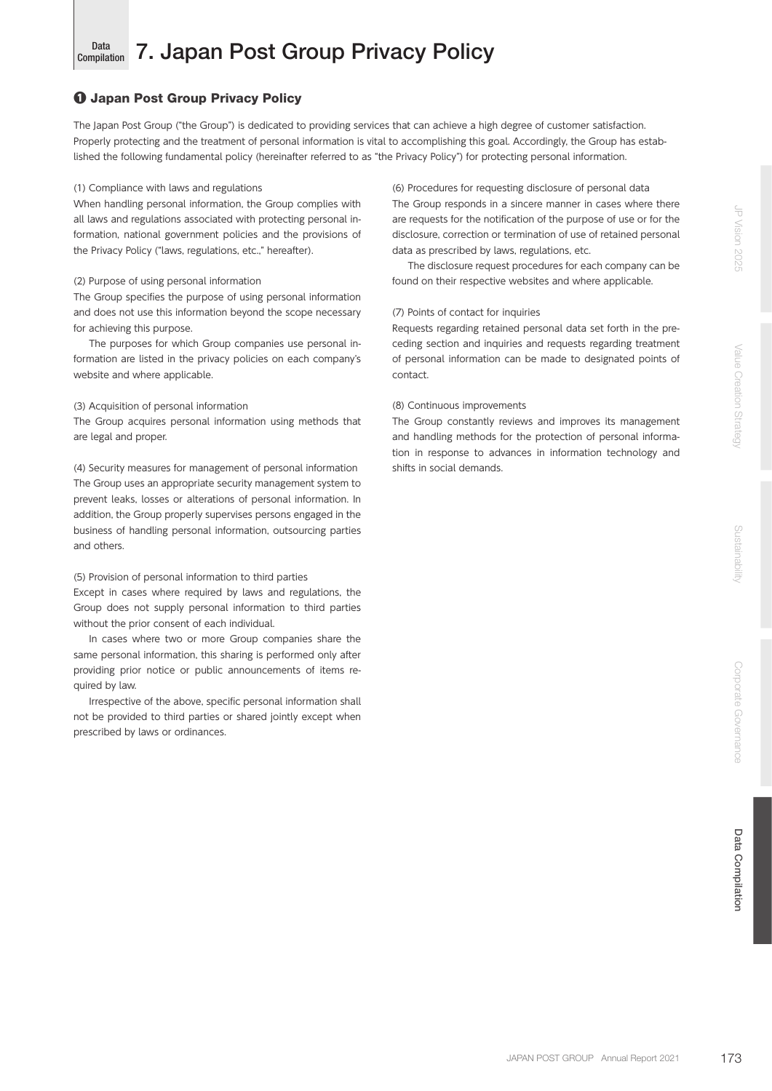## Data<br>Compilation 7. Japan Post Group Privacy Policy

# ❶ Japan Post Group Privacy Policy

The Japan Post Group ("the Group") is dedicated to providing services that can achieve a high degree of customer satisfaction. Properly protecting and the treatment of personal information is vital to accomplishing this goal. Accordingly, the Group has established the following fundamental policy (hereinafter referred to as "the Privacy Policy") for protecting personal information.

## (1) Compliance with laws and regulations

When handling personal information, the Group complies with all laws and regulations associated with protecting personal information, national government policies and the provisions of the Privacy Policy ("laws, regulations, etc.," hereafter).

# (2) Purpose of using personal information

The Group specifies the purpose of using personal information and does not use this information beyond the scope necessary for achieving this purpose.

The purposes for which Group companies use personal information are listed in the privacy policies on each company's website and where applicable.

# (3) Acquisition of personal information

The Group acquires personal information using methods that are legal and proper.

(4) Security measures for management of personal information The Group uses an appropriate security management system to prevent leaks, losses or alterations of personal information. In addition, the Group properly supervises persons engaged in the business of handling personal information, outsourcing parties and others.

## (5) Provision of personal information to third parties

Except in cases where required by laws and regulations, the Group does not supply personal information to third parties without the prior consent of each individual.

In cases where two or more Group companies share the same personal information, this sharing is performed only after providing prior notice or public announcements of items required by law.

Irrespective of the above, specific personal information shall not be provided to third parties or shared jointly except when prescribed by laws or ordinances.

(6) Procedures for requesting disclosure of personal data The Group responds in a sincere manner in cases where there are requests for the notification of the purpose of use or for the disclosure, correction or termination of use of retained personal data as prescribed by laws, regulations, etc.

The disclosure request procedures for each company can be found on their respective websites and where applicable.

# (7) Points of contact for inquiries

Requests regarding retained personal data set forth in the preceding section and inquiries and requests regarding treatment of personal information can be made to designated points of contact.

# (8) Continuous improvements

The Group constantly reviews and improves its management and handling methods for the protection of personal information in response to advances in information technology and shifts in social demands.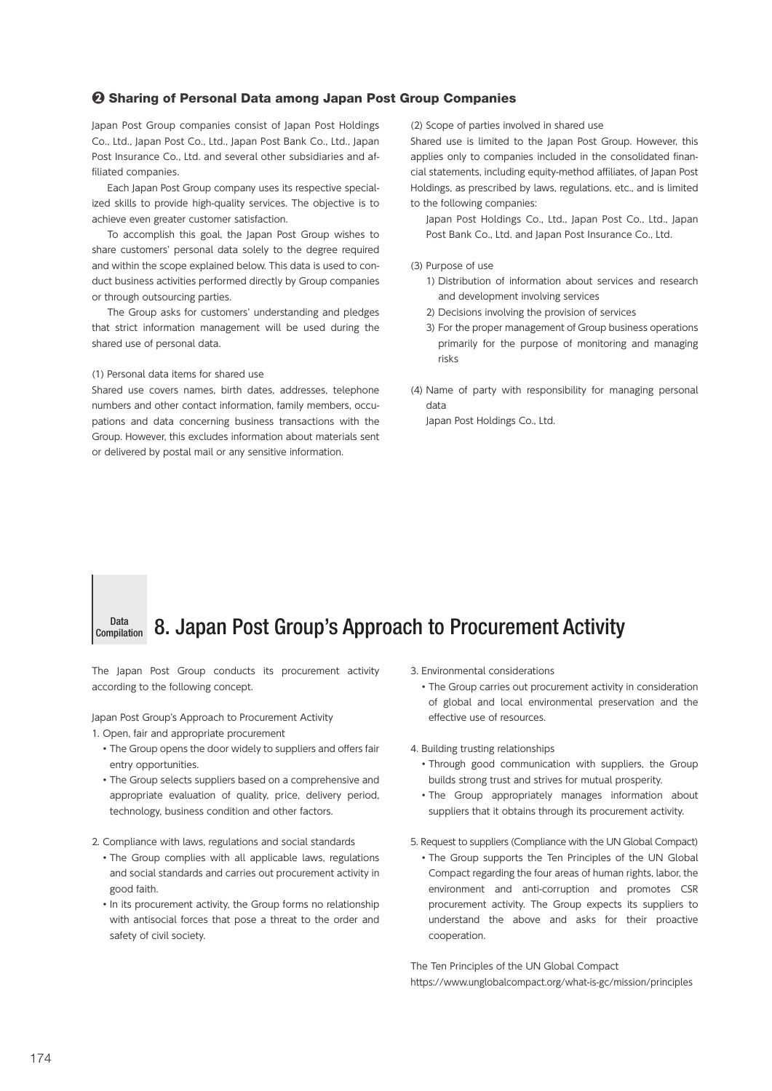## ❷ Sharing of Personal Data among Japan Post Group Companies

Japan Post Group companies consist of Japan Post Holdings Co., Ltd., Japan Post Co., Ltd., Japan Post Bank Co., Ltd., Japan Post Insurance Co., Ltd. and several other subsidiaries and affiliated companies.

Each Japan Post Group company uses its respective specialized skills to provide high-quality services. The objective is to achieve even greater customer satisfaction.

To accomplish this goal, the Japan Post Group wishes to share customers' personal data solely to the degree required and within the scope explained below. This data is used to conduct business activities performed directly by Group companies or through outsourcing parties.

The Group asks for customers' understanding and pledges that strict information management will be used during the shared use of personal data.

## (1) Personal data items for shared use

Shared use covers names, birth dates, addresses, telephone numbers and other contact information, family members, occupations and data concerning business transactions with the Group. However, this excludes information about materials sent or delivered by postal mail or any sensitive information.

(2) Scope of parties involved in shared use

Shared use is limited to the Japan Post Group. However, this applies only to companies included in the consolidated financial statements, including equity-method affiliates, of Japan Post Holdings, as prescribed by laws, regulations, etc., and is limited to the following companies:

Japan Post Holdings Co., Ltd., Japan Post Co., Ltd., Japan Post Bank Co., Ltd. and Japan Post Insurance Co., Ltd.

## (3) Purpose of use

- 1) Distribution of information about services and research and development involving services
- 2) Decisions involving the provision of services
- 3) For the proper management of Group business operations primarily for the purpose of monitoring and managing risks
- (4) Name of party with responsibility for managing personal data

Japan Post Holdings Co., Ltd.

### Data<br>Compilation 8. Japan Post Group's Approach to Procurement Activity

The Japan Post Group conducts its procurement activity according to the following concept.

Japan Post Group's Approach to Procurement Activity

1. Open, fair and appropriate procurement

- The Group opens the door widely to suppliers and offers fair entry opportunities.
- The Group selects suppliers based on a comprehensive and appropriate evaluation of quality, price, delivery period, technology, business condition and other factors.

2. Compliance with laws, regulations and social standards

- The Group complies with all applicable laws, regulations and social standards and carries out procurement activity in good faith.
- In its procurement activity, the Group forms no relationship with antisocial forces that pose a threat to the order and safety of civil society.
- 3. Environmental considerations
	- The Group carries out procurement activity in consideration of global and local environmental preservation and the effective use of resources.
- 4. Building trusting relationships
	- Through good communication with suppliers, the Group builds strong trust and strives for mutual prosperity.
	- The Group appropriately manages information about suppliers that it obtains through its procurement activity.

5. Request to suppliers (Compliance with the UN Global Compact)

• The Group supports the Ten Principles of the UN Global Compact regarding the four areas of human rights, labor, the environment and anti-corruption and promotes CSR procurement activity. The Group expects its suppliers to understand the above and asks for their proactive cooperation.

The Ten Principles of the UN Global Compact https://www.unglobalcompact.org/what-is-gc/mission/principles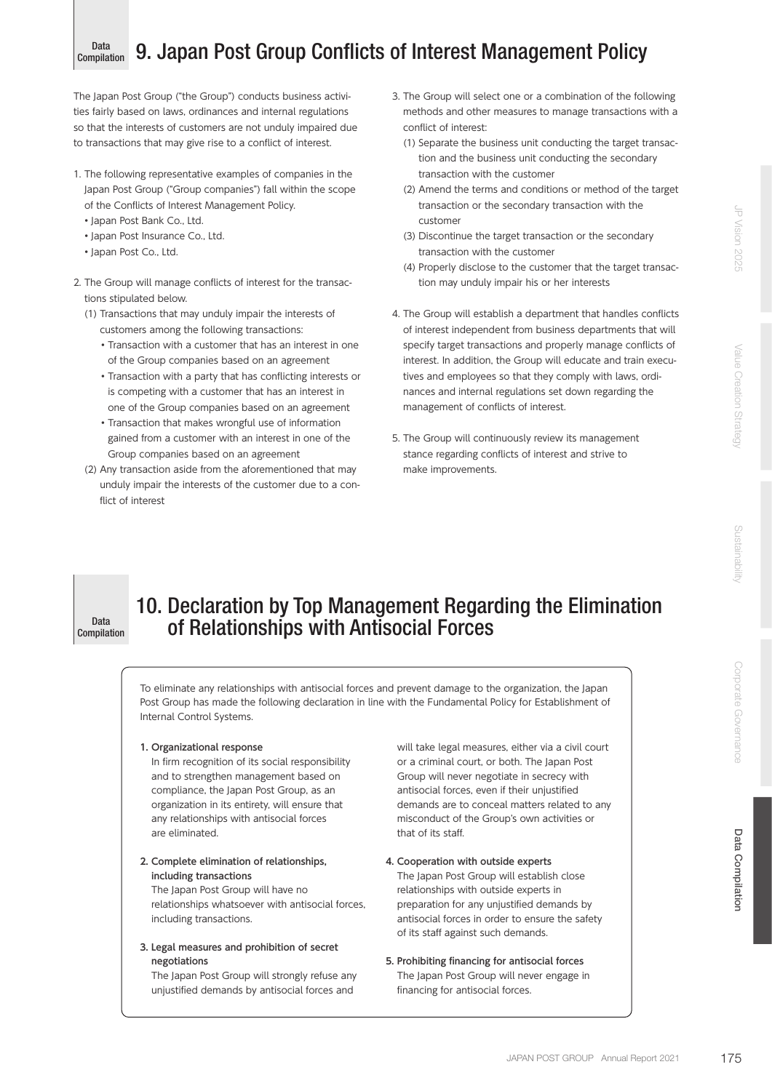Data Compilation

The Japan Post Group ("the Group") conducts business activities fairly based on laws, ordinances and internal regulations so that the interests of customers are not unduly impaired due to transactions that may give rise to a conflict of interest.

- 1. The following representative examples of companies in the Japan Post Group ("Group companies") fall within the scope of the Conflicts of Interest Management Policy.
	- Japan Post Bank Co., Ltd.
	- Japan Post Insurance Co., Ltd.
	- Japan Post Co., Ltd.
- 2. The Group will manage conflicts of interest for the transactions stipulated below.
	- (1) Transactions that may unduly impair the interests of customers among the following transactions:
		- Transaction with a customer that has an interest in one of the Group companies based on an agreement
		- Transaction with a party that has conflicting interests or is competing with a customer that has an interest in one of the Group companies based on an agreement
		- Transaction that makes wrongful use of information gained from a customer with an interest in one of the Group companies based on an agreement
	- (2) Any transaction aside from the aforementioned that may unduly impair the interests of the customer due to a conflict of interest
- 3. The Group will select one or a combination of the following methods and other measures to manage transactions with a conflict of interest:
	- (1) Separate the business unit conducting the target transaction and the business unit conducting the secondary transaction with the customer
	- (2) Amend the terms and conditions or method of the target transaction or the secondary transaction with the customer
	- (3) Discontinue the target transaction or the secondary transaction with the customer
	- (4) Properly disclose to the customer that the target transaction may unduly impair his or her interests
- 4. The Group will establish a department that handles conflicts of interest independent from business departments that will specify target transactions and properly manage conflicts of interest. In addition, the Group will educate and train executives and employees so that they comply with laws, ordinances and internal regulations set down regarding the management of conflicts of interest.
- 5. The Group will continuously review its management stance regarding conflicts of interest and strive to make improvements.

Data Compilation

# 10. Declaration by Top Management Regarding the Elimination of Relationships with Antisocial Forces

To eliminate any relationships with antisocial forces and prevent damage to the organization, the Japan Post Group has made the following declaration in line with the Fundamental Policy for Establishment of Internal Control Systems.

**1. Organizational response**

In firm recognition of its social responsibility and to strengthen management based on compliance, the Japan Post Group, as an organization in its entirety, will ensure that any relationships with antisocial forces are eliminated.

**2. Complete elimination of relationships, including transactions** The Japan Post Group will have no

relationships whatsoever with antisocial forces, including transactions.

## **3. Legal measures and prohibition of secret negotiations**

The Japan Post Group will strongly refuse any unjustified demands by antisocial forces and

will take legal measures, either via a civil court or a criminal court, or both. The Japan Post Group will never negotiate in secrecy with antisocial forces, even if their unjustified demands are to conceal matters related to any misconduct of the Group's own activities or that of its staff.

- **4. Cooperation with outside experts** The Japan Post Group will establish close relationships with outside experts in preparation for any unjustified demands by antisocial forces in order to ensure the safety of its staff against such demands.
- **5. Prohibiting financing for antisocial forces** The Japan Post Group will never engage in financing for antisocial forces.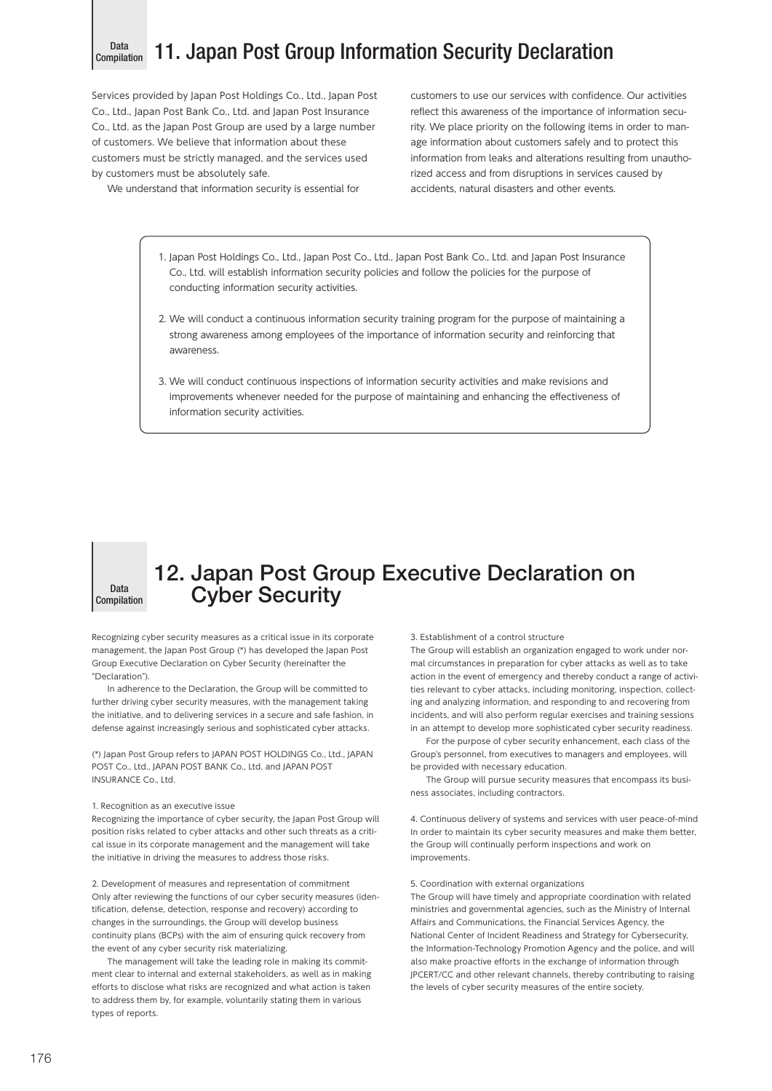# Data<br>Compilation

Services provided by Japan Post Holdings Co., Ltd., Japan Post Co., Ltd., Japan Post Bank Co., Ltd. and Japan Post Insurance Co., Ltd. as the Japan Post Group are used by a large number of customers. We believe that information about these customers must be strictly managed, and the services used by customers must be absolutely safe.

We understand that information security is essential for

customers to use our services with confidence. Our activities reflect this awareness of the importance of information security. We place priority on the following items in order to manage information about customers safely and to protect this information from leaks and alterations resulting from unauthorized access and from disruptions in services caused by accidents, natural disasters and other events.

- 1. Japan Post Holdings Co., Ltd., Japan Post Co., Ltd., Japan Post Bank Co., Ltd. and Japan Post Insurance Co., Ltd. will establish information security policies and follow the policies for the purpose of conducting information security activities.
- 2. We will conduct a continuous information security training program for the purpose of maintaining a strong awareness among employees of the importance of information security and reinforcing that awareness.
- 3. We will conduct continuous inspections of information security activities and make revisions and improvements whenever needed for the purpose of maintaining and enhancing the effectiveness of information security activities.



# 12. Japan Post Group Executive Declaration on Cyber Security

Recognizing cyber security measures as a critical issue in its corporate management, the Japan Post Group (\*) has developed the Japan Post Group Executive Declaration on Cyber Security (hereinafter the "Declaration").

In adherence to the Declaration, the Group will be committed to further driving cyber security measures, with the management taking the initiative, and to delivering services in a secure and safe fashion, in defense against increasingly serious and sophisticated cyber attacks.

(\*) Japan Post Group refers to JAPAN POST HOLDINGS Co., Ltd., JAPAN POST Co., Ltd., JAPAN POST BANK Co., Ltd. and JAPAN POST INSURANCE Co., Ltd.

#### 1. Recognition as an executive issue

Recognizing the importance of cyber security, the Japan Post Group will position risks related to cyber attacks and other such threats as a critical issue in its corporate management and the management will take the initiative in driving the measures to address those risks.

2. Development of measures and representation of commitment Only after reviewing the functions of our cyber security measures (identification, defense, detection, response and recovery) according to changes in the surroundings, the Group will develop business continuity plans (BCPs) with the aim of ensuring quick recovery from the event of any cyber security risk materializing.

The management will take the leading role in making its commitment clear to internal and external stakeholders, as well as in making efforts to disclose what risks are recognized and what action is taken to address them by, for example, voluntarily stating them in various types of reports.

3. Establishment of a control structure

The Group will establish an organization engaged to work under normal circumstances in preparation for cyber attacks as well as to take action in the event of emergency and thereby conduct a range of activities relevant to cyber attacks, including monitoring, inspection, collecting and analyzing information, and responding to and recovering from incidents, and will also perform regular exercises and training sessions in an attempt to develop more sophisticated cyber security readiness.

For the purpose of cyber security enhancement, each class of the Group's personnel, from executives to managers and employees, will be provided with necessary education.

The Group will pursue security measures that encompass its business associates, including contractors.

4. Continuous delivery of systems and services with user peace-of-mind In order to maintain its cyber security measures and make them better, the Group will continually perform inspections and work on improvements.

## 5. Coordination with external organizations

The Group will have timely and appropriate coordination with related ministries and governmental agencies, such as the Ministry of Internal Affairs and Communications, the Financial Services Agency, the National Center of Incident Readiness and Strategy for Cybersecurity, the Information-Technology Promotion Agency and the police, and will also make proactive efforts in the exchange of information through JPCERT/CC and other relevant channels, thereby contributing to raising the levels of cyber security measures of the entire society.